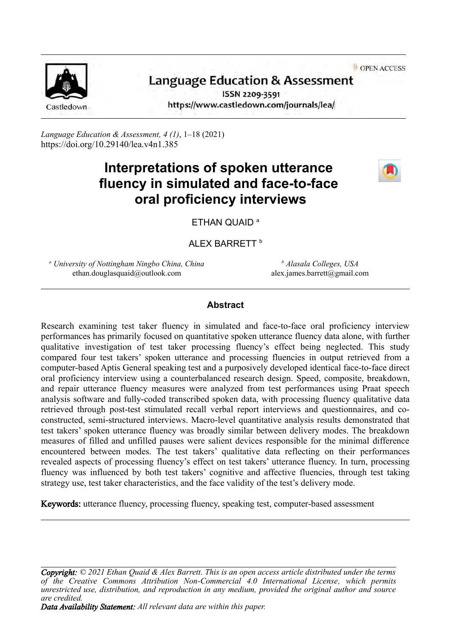OPEN ACCESS



# **Language Education & Assessment**

ISSN 2209-3591 https://www.castledown.com/journals/lea/

*Language Education & Assessment, 4 (1)*, 1–18 (2021) <https://doi.org/10.29140/lea.v4n1.385>

# **Interpretations of spoken utterance fluency in simulated and face-to-face oral proficiency interviews**



ETHAN QUAID<sup>a</sup>

ALEX BARRETT<sup>b</sup>

*<sup>a</sup> University of Nottingham Ningbo China, China* ethan.douglasquaid@outlook.com

*<sup>b</sup> Alasala Colleges, USA* alex.james.barrett@gmail.com

## **Abstract**

Research examining test taker fluency in simulated and face-to-face oral proficiency interview performances has primarily focused on quantitative spoken utterance fluency data alone, with further qualitative investigation of test taker processing fluency's effect being neglected. This study compared four test takers' spoken utterance and processing fluencies in output retrieved from a computer-based Aptis General speaking test and a purposively developed identical face-to-face direct oral proficiency interview using a counterbalanced research design. Speed, composite, breakdown, and repair utterance fluency measures were analyzed from test performances using Praat speech analysis software and fully-coded transcribed spoken data, with processing fluency qualitative data retrieved through post-test stimulated recall verbal report interviews and questionnaires, and coconstructed, semi-structured interviews. Macro-level quantitative analysis results demonstrated that test takers' spoken utterance fluency was broadly similar between delivery modes. The breakdown measures of filled and unfilled pauses were salient devices responsible for the minimal difference encountered between modes. The test takers' qualitative data reflecting on their performances revealed aspects of processing fluency's effect on test takers' utterance fluency. In turn, processing fluency was influenced by both test takers' cognitive and affective fluencies, through test taking strategy use, test taker characteristics, and the face validity of the test's delivery mode.

Keywords: utterance fluency, processing fluency, speaking test, computer-based assessment

*Copyright: © 2021 Ethan Quaid & Alex Barrett. This is an open access article distributed under the terms of the [Creative Commons Attribution Non-Commercial 4.0 International License](http://creativecommons.org/licenses/by-nc-nd/4.0), which permits unrestricted use, distribution, and reproduction in any medium, provided the original author and source are credited.*

*Data Availability Statement: All relevant data are within this paper.*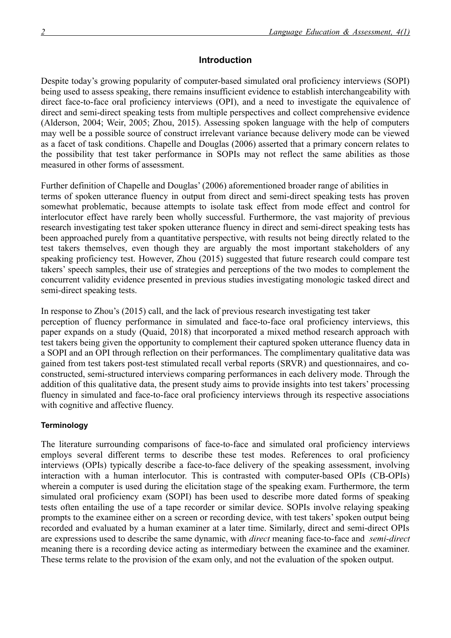## **Introduction**

Despite today's growing popularity of computer-based simulated oral proficiency interviews (SOPI) being used to assess speaking, there remains insufficient evidence to establish interchangeability with direct face-to-face oral proficiency interviews (OPI), and a need to investigate the equivalence of direct and semi-direct speaking tests from multiple perspectives and collect comprehensive evidence (Alderson, 2004; Weir, 2005; Zhou, 2015). Assessing spoken language with the help of computers may well be a possible source of construct irrelevant variance because delivery mode can be viewed as a facet of task conditions. Chapelle and Douglas (2006) asserted that a primary concern relates to the possibility that test taker performance in SOPIs may not reflect the same abilities as those measured in other forms of assessment.

Further definition of Chapelle and Douglas' (2006) aforementioned broader range of abilities in terms of spoken utterance fluency in output from direct and semi-direct speaking tests has proven somewhat problematic, because attempts to isolate task effect from mode effect and control for interlocutor effect have rarely been wholly successful. Furthermore, the vast majority of previous research investigating test taker spoken utterance fluency in direct and semi-direct speaking tests has been approached purely from a quantitative perspective, with results not being directly related to the test takers themselves, even though they are arguably the most important stakeholders of any speaking proficiency test. However, Zhou (2015) suggested that future research could compare test takers' speech samples, their use of strategies and perceptions of the two modes to complement the concurrent validity evidence presented in previous studies investigating monologic tasked direct and semi-direct speaking tests.

In response to Zhou's (2015) call, and the lack of previous research investigating test taker perception of fluency performance in simulated and face-to-face oral proficiency interviews, this paper expands on a study (Quaid, 2018) that incorporated a mixed method research approach with test takers being given the opportunity to complement their captured spoken utterance fluency data in a SOPI and an OPI through reflection on their performances. The complimentary qualitative data was gained from test takers post-test stimulated recall verbal reports (SRVR) and questionnaires, and coconstructed, semi-structured interviews comparing performances in each delivery mode. Through the addition of this qualitative data, the present study aims to provide insights into test takers' processing fluency in simulated and face-to-face oral proficiency interviews through its respective associations with cognitive and affective fluency.

## **Terminology**

The literature surrounding comparisons of face-to-face and simulated oral proficiency interviews employs several different terms to describe these test modes. References to oral proficiency interviews (OPIs) typically describe a face-to-face delivery of the speaking assessment, involving interaction with a human interlocutor. This is contrasted with computer-based OPIs (CB-OPIs) wherein a computer is used during the elicitation stage of the speaking exam. Furthermore, the term simulated oral proficiency exam (SOPI) has been used to describe more dated forms of speaking tests often entailing the use of a tape recorder or similar device. SOPIs involve relaying speaking prompts to the examinee either on a screen or recording device, with test takers' spoken output being recorded and evaluated by a human examiner at a later time. Similarly, direct and semi-direct OPIs are expressions used to describe the same dynamic, with *direct* meaning face-to-face and *semi-direct* meaning there is a recording device acting as intermediary between the examinee and the examiner. These terms relate to the provision of the exam only, and not the evaluation of the spoken output.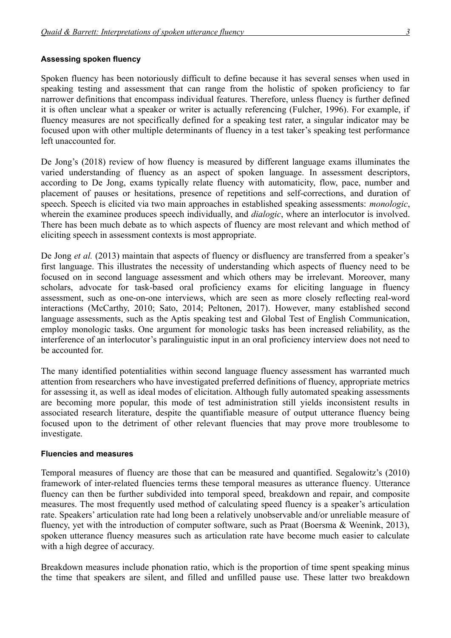#### **Assessing spoken fluency**

Spoken fluency has been notoriously difficult to define because it has several senses when used in speaking testing and assessment that can range from the holistic of spoken proficiency to far narrower definitions that encompass individual features. Therefore, unless fluency is further defined it is often unclear what a speaker or writer is actually referencing (Fulcher, 1996). For example, if fluency measures are not specifically defined for a speaking test rater, a singular indicator may be focused upon with other multiple determinants of fluency in a test taker's speaking test performance left unaccounted for.

De Jong's (2018) review of how fluency is measured by different language exams illuminates the varied understanding of fluency as an aspect of spoken language. In assessment descriptors, according to De Jong, exams typically relate fluency with automaticity, flow, pace, number and placement of pauses or hesitations, presence of repetitions and self-corrections, and duration of speech. Speech is elicited via two main approaches in established speaking assessments: *monologic*, wherein the examinee produces speech individually, and *dialogic*, where an interlocutor is involved. There has been much debate as to which aspects of fluency are most relevant and which method of eliciting speech in assessment contexts is most appropriate.

De Jong *et al.* (2013) maintain that aspects of fluency or disfluency are transferred from a speaker's first language. This illustrates the necessity of understanding which aspects of fluency need to be focused on in second language assessment and which others may be irrelevant. Moreover, many scholars, advocate for task-based oral proficiency exams for eliciting language in fluency assessment, such as one-on-one interviews, which are seen as more closely reflecting real-word interactions (McCarthy, 2010; Sato, 2014; Peltonen, 2017). However, many established second language assessments, such as the Aptis speaking test and Global Test of English Communication, employ monologic tasks. One argument for monologic tasks has been increased reliability, as the interference of an interlocutor's paralinguistic input in an oral proficiency interview does not need to be accounted for.

The many identified potentialities within second language fluency assessment has warranted much attention from researchers who have investigated preferred definitions of fluency, appropriate metrics for assessing it, as well as ideal modes of elicitation. Although fully automated speaking assessments are becoming more popular, this mode of test administration still yields inconsistent results in associated research literature, despite the quantifiable measure of output utterance fluency being focused upon to the detriment of other relevant fluencies that may prove more troublesome to investigate.

#### **Fluencies and measures**

Temporal measures of fluency are those that can be measured and quantified. Segalowitz's (2010) framework of inter-related fluencies terms these temporal measures as utterance fluency*.* Utterance fluency can then be further subdivided into temporal speed, breakdown and repair, and composite measures. The most frequently used method of calculating speed fluency is a speaker's articulation rate. Speakers' articulation rate had long been a relatively unobservable and/or unreliable measure of fluency, yet with the introduction of computer software, such as Praat (Boersma & Weenink, 2013), spoken utterance fluency measures such as articulation rate have become much easier to calculate with a high degree of accuracy.

Breakdown measures include phonation ratio, which is the proportion of time spent speaking minus the time that speakers are silent, and filled and unfilled pause use. These latter two breakdown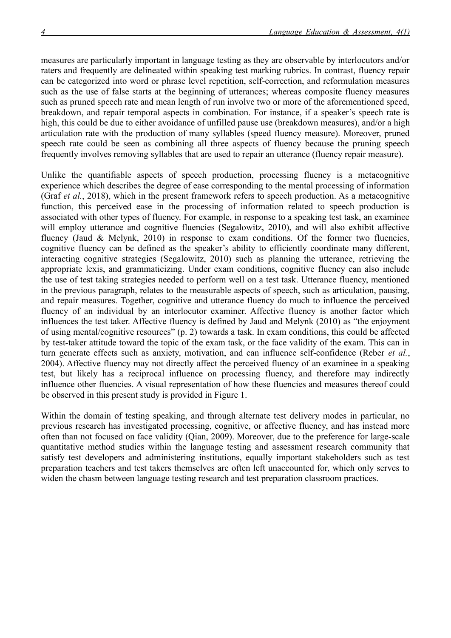measures are particularly important in language testing as they are observable by interlocutors and/or raters and frequently are delineated within speaking test marking rubrics. In contrast, fluency repair can be categorized into word or phrase level repetition, self-correction, and reformulation measures such as the use of false starts at the beginning of utterances; whereas composite fluency measures such as pruned speech rate and mean length of run involve two or more of the aforementioned speed, breakdown, and repair temporal aspects in combination. For instance, if a speaker's speech rate is high, this could be due to either avoidance of unfilled pause use (breakdown measures), and/or a high articulation rate with the production of many syllables (speed fluency measure). Moreover, pruned speech rate could be seen as combining all three aspects of fluency because the pruning speech frequently involves removing syllables that are used to repair an utterance (fluency repair measure).

Unlike the quantifiable aspects of speech production, processing fluency is a metacognitive experience which describes the degree of ease corresponding to the mental processing of information (Graf *et al.*, 2018), which in the present framework refers to speech production. As a metacognitive function, this perceived ease in the processing of information related to speech production is associated with other types of fluency. For example, in response to a speaking test task, an examinee will employ utterance and cognitive fluencies (Segalowitz, 2010), and will also exhibit affective fluency (Jaud & Melynk, 2010) in response to exam conditions. Of the former two fluencies, cognitive fluency can be defined as the speaker's ability to efficiently coordinate many different, interacting cognitive strategies (Segalowitz, 2010) such as planning the utterance, retrieving the appropriate lexis, and grammaticizing. Under exam conditions, cognitive fluency can also include the use of test taking strategies needed to perform well on a test task. Utterance fluency, mentioned in the previous paragraph, relates to the measurable aspects of speech, such as articulation, pausing, and repair measures. Together, cognitive and utterance fluency do much to influence the perceived fluency of an individual by an interlocutor examiner. Affective fluency is another factor which influences the test taker. Affective fluency is defined by Jaud and Melynk (2010) as "the enjoyment of using mental/cognitive resources" (p. 2) towards a task. In exam conditions, this could be affected by test-taker attitude toward the topic of the exam task, or the face validity of the exam. This can in turn generate effects such as anxiety, motivation, and can influence self-confidence (Reber *et al.*, 2004). Affective fluency may not directly affect the perceived fluency of an examinee in a speaking test, but likely has a reciprocal influence on processing fluency, and therefore may indirectly influence other fluencies. A visual representation of how these fluencies and measures thereof could be observed in this present study is provided in Figure 1.

Within the domain of testing speaking, and through alternate test delivery modes in particular, no previous research has investigated processing, cognitive, or affective fluency, and has instead more often than not focused on face validity (Qian, 2009). Moreover, due to the preference for large-scale quantitative method studies within the language testing and assessment research community that satisfy test developers and administering institutions, equally important stakeholders such as test preparation teachers and test takers themselves are often left unaccounted for, which only serves to widen the chasm between language testing research and test preparation classroom practices.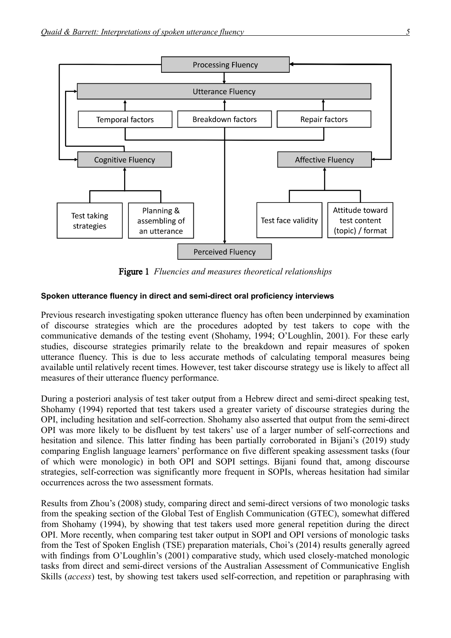

Figure 1 *Fluencies and measures theoretical relationships*

## **Spoken utterance fluency in direct and semi-direct oral proficiency interviews**

Previous research investigating spoken utterance fluency has often been underpinned by examination of discourse strategies which are the procedures adopted by test takers to cope with the communicative demands of the testing event (Shohamy, 1994; O'Loughlin, 2001). For these early studies, discourse strategies primarily relate to the breakdown and repair measures of spoken utterance fluency. This is due to less accurate methods of calculating temporal measures being available until relatively recent times. However, test taker discourse strategy use is likely to affect all measures of their utterance fluency performance.

During a posteriori analysis of test taker output from a Hebrew direct and semi-direct speaking test, Shohamy (1994) reported that test takers used a greater variety of discourse strategies during the OPI, including hesitation and self-correction. Shohamy also asserted that output from the semi-direct OPI was more likely to be disfluent by test takers' use of a larger number of self-corrections and hesitation and silence. This latter finding has been partially corroborated in Bijani's (2019) study comparing English language learners' performance on five different speaking assessment tasks (four of which were monologic) in both OPI and SOPI settings. Bijani found that, among discourse strategies, self-correction was significantly more frequent in SOPIs, whereas hesitation had similar occurrences across the two assessment formats.

Results from Zhou's (2008) study, comparing direct and semi-direct versions of two monologic tasks from the speaking section of the Global Test of English Communication (GTEC), somewhat differed from Shohamy (1994), by showing that test takers used more general repetition during the direct OPI. More recently, when comparing test taker output in SOPI and OPI versions of monologic tasks from the Test of Spoken English (TSE) preparation materials, Choi's (2014) results generally agreed with findings from O'Loughlin's (2001) comparative study, which used closely-matched monologic tasks from direct and semi-direct versions of the Australian Assessment of Communicative English Skills (*access*) test, by showing test takers used self-correction, and repetition or paraphrasing with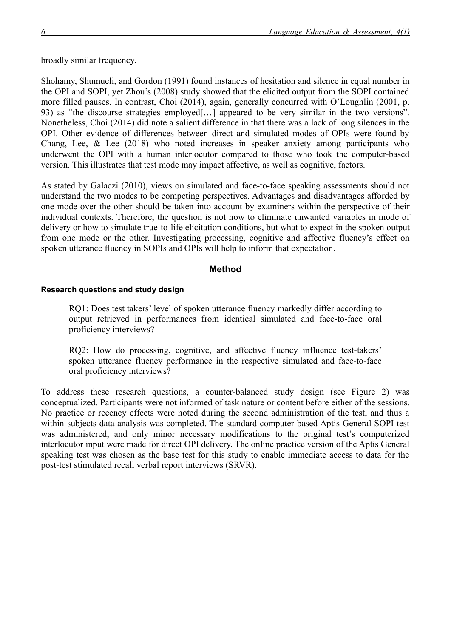broadly similar frequency.

Shohamy, Shumueli, and Gordon (1991) found instances of hesitation and silence in equal number in the OPI and SOPI, yet Zhou's (2008) study showed that the elicited output from the SOPI contained more filled pauses. In contrast, Choi (2014), again, generally concurred with O'Loughlin (2001, p. 93) as "the discourse strategies employed[…] appeared to be very similar in the two versions". Nonetheless, Choi (2014) did note a salient difference in that there was a lack of long silences in the OPI. Other evidence of differences between direct and simulated modes of OPIs were found by Chang, Lee, & Lee (2018) who noted increases in speaker anxiety among participants who underwent the OPI with a human interlocutor compared to those who took the computer-based version. This illustrates that test mode may impact affective, as well as cognitive, factors.

As stated by Galaczi (2010), views on simulated and face-to-face speaking assessments should not understand the two modes to be competing perspectives. Advantages and disadvantages afforded by one mode over the other should be taken into account by examiners within the perspective of their individual contexts. Therefore, the question is not how to eliminate unwanted variables in mode of delivery or how to simulate true-to-life elicitation conditions, but what to expect in the spoken output from one mode or the other. Investigating processing, cognitive and affective fluency's effect on spoken utterance fluency in SOPIs and OPIs will help to inform that expectation.

### **Method**

#### **Research questions and study design**

RQ1: Does test takers' level of spoken utterance fluency markedly differ according to output retrieved in performances from identical simulated and face-to-face oral proficiency interviews?

RQ2: How do processing, cognitive, and affective fluency influence test-takers' spoken utterance fluency performance in the respective simulated and face-to-face oral proficiency interviews?

To address these research questions, a counter-balanced study design (see Figure 2) was conceptualized. Participants were not informed of task nature or content before either of the sessions. No practice or recency effects were noted during the second administration of the test, and thus a within-subjects data analysis was completed. The standard computer-based Aptis General SOPI test was administered, and only minor necessary modifications to the original test's computerized interlocutor input were made for direct OPI delivery. The online practice version of the Aptis General speaking test was chosen as the base test for this study to enable immediate access to data for the post-test stimulated recall verbal report interviews (SRVR).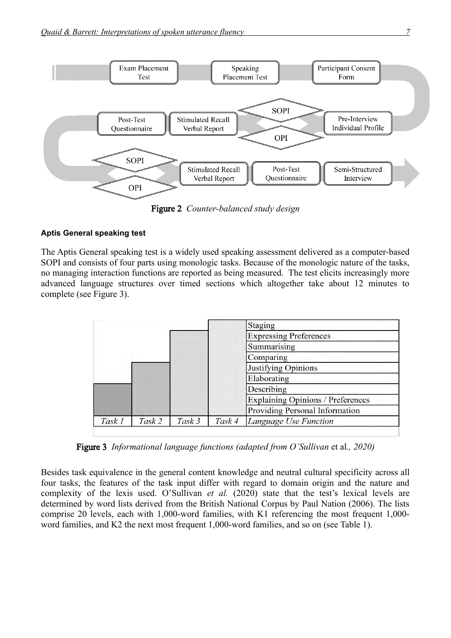

Figure 2 *Counter-balanced study design*

## **Aptis General speaking test**

The Aptis General speaking test is a widely used speaking assessment delivered as a computer-based SOPI and consists of four parts using monologic tasks. Because of the monologic nature of the tasks, no managing interaction functions are reported as being measured. The test elicits increasingly more advanced language structures over timed sections which altogether take about 12 minutes to complete (see Figure 3).

|        |        |        |        | Staging                           |
|--------|--------|--------|--------|-----------------------------------|
|        |        |        |        | <b>Expressing Preferences</b>     |
|        |        |        |        | Summarising                       |
|        |        |        |        | Comparing                         |
|        |        |        |        | Justifying Opinions               |
|        |        |        |        | Elaborating                       |
|        |        |        |        | Describing                        |
|        |        |        |        | Explaining Opinions / Preferences |
|        |        |        |        | Providing Personal Information    |
| Task 1 | Task 2 | Task 3 | Task 4 | Language Use Function             |

Figure 3 *Informational language functions (adapted from O'Sullivan et al., 2020)* 

Besides task equivalence in the general content knowledge and neutral cultural specificity across all four tasks, the features of the task input differ with regard to domain origin and the nature and complexity of the lexis used. O'Sullivan *et al.* (2020) state that the test's lexical levels are determined by word lists derived from the British National Corpus by Paul Nation (2006). The lists comprise 20 levels, each with 1,000-word families, with K1 referencing the most frequent 1,000 word families, and K2 the next most frequent 1,000-word families, and so on (see Table 1).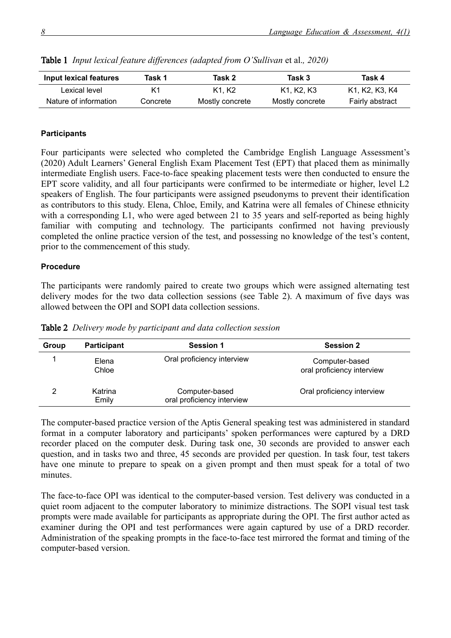| Input lexical features | Task 1   | Task 2                        | Task 3          | Task 4          |
|------------------------|----------|-------------------------------|-----------------|-----------------|
| Lexical level          |          | K <sub>1</sub> K <sub>2</sub> | K1. K2. K3      | K1, K2, K3, K4  |
| Nature of information  | Concrete | Mostly concrete               | Mostly concrete | Fairly abstract |

**Table 1** *Input lexical feature differences (adapted from O'Sullivan et al., 2020)* 

#### **Participants**

Four participants were selected who completed the Cambridge English Language Assessment's (2020) Adult Learners' General English Exam Placement Test (EPT) that placed them as minimally intermediate English users. Face-to-face speaking placement tests were then conducted to ensure the EPT score validity, and all four participants were confirmed to be intermediate or higher, level L2 speakers of English. The four participants were assigned pseudonyms to prevent their identification as contributors to this study. Elena, Chloe, Emily, and Katrina were all females of Chinese ethnicity with a corresponding L1, who were aged between 21 to 35 years and self-reported as being highly familiar with computing and technology. The participants confirmed not having previously completed the online practice version of the test, and possessing no knowledge of the test's content, prior to the commencement of this study.

#### **Procedure**

The participants were randomly paired to create two groups which were assigned alternating test delivery modes for the two data collection sessions (see Table 2). A maximum of five days was allowed between the OPI and SOPI data collection sessions.

| Group | <b>Participant</b> | <b>Session 1</b>                             | <b>Session 2</b>                             |
|-------|--------------------|----------------------------------------------|----------------------------------------------|
|       | Elena<br>Chloe     | Oral proficiency interview                   | Computer-based<br>oral proficiency interview |
|       | Katrina<br>Emily   | Computer-based<br>oral proficiency interview | Oral proficiency interview                   |

Table 2 *Delivery mode by participant and data collection session*

The computer-based practice version of the Aptis General speaking test was administered in standard format in a computer laboratory and participants' spoken performances were captured by a DRD recorder placed on the computer desk. During task one, 30 seconds are provided to answer each question, and in tasks two and three, 45 seconds are provided per question. In task four, test takers have one minute to prepare to speak on a given prompt and then must speak for a total of two minutes.

The face-to-face OPI was identical to the computer-based version. Test delivery was conducted in a quiet room adjacent to the computer laboratory to minimize distractions. The SOPI visual test task prompts were made available for participants as appropriate during the OPI. The first author acted as examiner during the OPI and test performances were again captured by use of a DRD recorder. Administration of the speaking prompts in the face-to-face test mirrored the format and timing of the computer-based version.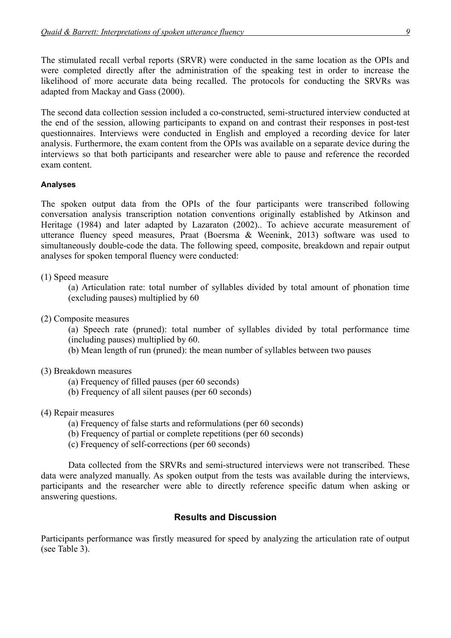The stimulated recall verbal reports (SRVR) were conducted in the same location as the OPIs and were completed directly after the administration of the speaking test in order to increase the likelihood of more accurate data being recalled. The protocols for conducting the SRVRs was adapted from Mackay and Gass (2000).

The second data collection session included a co-constructed, semi-structured interview conducted at the end of the session, allowing participants to expand on and contrast their responses in post-test questionnaires. Interviews were conducted in English and employed a recording device for later analysis. Furthermore, the exam content from the OPIs was available on a separate device during the interviews so that both participants and researcher were able to pause and reference the recorded exam content.

## **Analyses**

The spoken output data from the OPIs of the four participants were transcribed following conversation analysis transcription notation conventions originally established by Atkinson and Heritage (1984) and later adapted by Lazaraton (2002).. To achieve accurate measurement of utterance fluency speed measures, Praat (Boersma & Weenink, 2013) software was used to simultaneously double-code the data. The following speed, composite, breakdown and repair output analyses for spoken temporal fluency were conducted:

## (1) Speed measure

(a) Articulation rate: total number of syllables divided by total amount of phonation time (excluding pauses) multiplied by 60

(2) Composite measures

(a) Speech rate (pruned): total number of syllables divided by total performance time (including pauses) multiplied by 60.

(b) Mean length of run (pruned): the mean number of syllables between two pauses

- (3) Breakdown measures
	- (a) Frequency of filled pauses (per 60 seconds)
	- (b) Frequency of all silent pauses (per 60 seconds)
- (4) Repair measures
	- (a) Frequency of false starts and reformulations (per 60 seconds)
	- (b) Frequency of partial or complete repetitions (per 60 seconds)
	- (c) Frequency of self-corrections (per 60 seconds)

Data collected from the SRVRs and semi-structured interviews were not transcribed. These data were analyzed manually. As spoken output from the tests was available during the interviews, participants and the researcher were able to directly reference specific datum when asking or answering questions.

## **Results and Discussion**

Participants performance was firstly measured for speed by analyzing the articulation rate of output (see Table 3).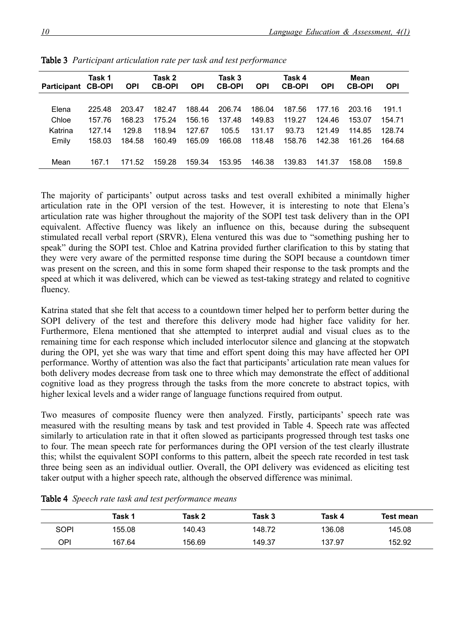| <b>Participant CB-OPI</b> | Task 1 | <b>OPI</b> | Task 2<br><b>CB-OPI</b> | <b>OPI</b> | Task 3<br><b>CB-OPI</b> | <b>OPI</b> | Task 4<br><b>CB-OPI</b> | <b>OPI</b> | Mean<br><b>CB-OPI</b> | <b>OPI</b> |
|---------------------------|--------|------------|-------------------------|------------|-------------------------|------------|-------------------------|------------|-----------------------|------------|
|                           |        |            |                         |            |                         |            |                         |            |                       |            |
| Elena                     | 225.48 | 203.47     | 182.47                  | 188.44     | 206.74                  | 186.04     | 187.56                  | 177.16     | 203.16                | 191.1      |
| Chloe                     | 157.76 | 168.23     | 175.24                  | 156.16     | 137.48                  | 149.83     | 119.27                  | 124.46     | 153.07                | 154.71     |
| Katrina                   | 127.14 | 129.8      | 118.94                  | 127.67     | 105.5                   | 131.17     | 93.73                   | 121.49     | 114.85                | 128.74     |
| Emily                     | 158.03 | 184.58     | 160.49                  | 165.09     | 166.08                  | 118.48     | 158.76                  | 142.38     | 161.26                | 164.68     |
|                           |        |            |                         |            |                         |            |                         |            |                       |            |
| Mean                      | 167.1  | 171.52     | 159.28                  | 159.34     | 153.95                  | 146.38     | 139.83                  | 141.37     | 158.08                | 159.8      |

Table 3 *Participant articulation rate per task and test performance*

The majority of participants' output across tasks and test overall exhibited a minimally higher articulation rate in the OPI version of the test. However, it is interesting to note that Elena's articulation rate was higher throughout the majority of the SOPI test task delivery than in the OPI equivalent. Affective fluency was likely an influence on this, because during the subsequent stimulated recall verbal report (SRVR), Elena ventured this was due to "something pushing her to speak" during the SOPI test. Chloe and Katrina provided further clarification to this by stating that they were very aware of the permitted response time during the SOPI because a countdown timer was present on the screen, and this in some form shaped their response to the task prompts and the speed at which it was delivered, which can be viewed as test-taking strategy and related to cognitive fluency.

Katrina stated that she felt that access to a countdown timer helped her to perform better during the SOPI delivery of the test and therefore this delivery mode had higher face validity for her. Furthermore, Elena mentioned that she attempted to interpret audial and visual clues as to the remaining time for each response which included interlocutor silence and glancing at the stopwatch during the OPI, yet she was wary that time and effort spent doing this may have affected her OPI performance. Worthy of attention was also the fact that participants' articulation rate mean values for both delivery modes decrease from task one to three which may demonstrate the effect of additional cognitive load as they progress through the tasks from the more concrete to abstract topics, with higher lexical levels and a wider range of language functions required from output.

Two measures of composite fluency were then analyzed. Firstly, participants' speech rate was measured with the resulting means by task and test provided in Table 4. Speech rate was affected similarly to articulation rate in that it often slowed as participants progressed through test tasks one to four. The mean speech rate for performances during the OPI version of the test clearly illustrate this; whilst the equivalent SOPI conforms to this pattern, albeit the speech rate recorded in test task three being seen as an individual outlier. Overall, the OPI delivery was evidenced as eliciting test taker output with a higher speech rate, although the observed difference was minimal.

|      | Task 1 | Task 2 | Task 3 | Task 4 | Test mean |
|------|--------|--------|--------|--------|-----------|
| SOPI | 155.08 | 140.43 | 148.72 | 136.08 | 145.08    |
| OPI  | 167.64 | 156.69 | 149.37 | 137.97 | 152.92    |

Table 4 *Speech rate task and test performance means*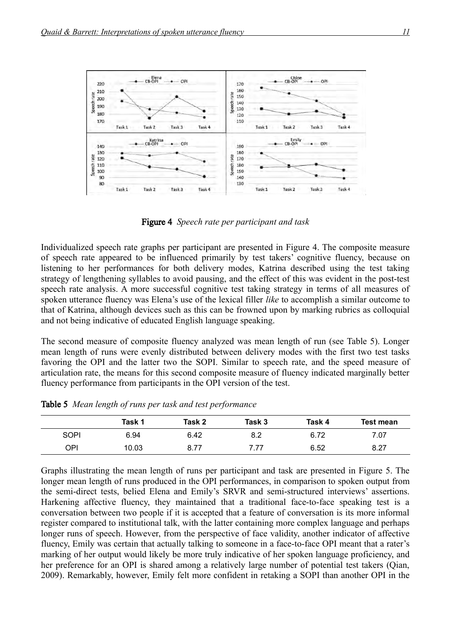

Figure 4 *Speech rate per participant and task*

Individualized speech rate graphs per participant are presented in Figure 4. The composite measure of speech rate appeared to be influenced primarily by test takers' cognitive fluency, because on listening to her performances for both delivery modes, Katrina described using the test taking strategy of lengthening syllables to avoid pausing, and the effect of this was evident in the post-test speech rate analysis. A more successful cognitive test taking strategy in terms of all measures of spoken utterance fluency was Elena's use of the lexical filler *like* to accomplish a similar outcome to that of Katrina, although devices such as this can be frowned upon by marking rubrics as colloquial and not being indicative of educated English language speaking.

The second measure of composite fluency analyzed was mean length of run (see Table 5). Longer mean length of runs were evenly distributed between delivery modes with the first two test tasks favoring the OPI and the latter two the SOPI. Similar to speech rate, and the speed measure of articulation rate, the means for this second composite measure of fluency indicated marginally better fluency performance from participants in the OPI version of the test.

|             | Task 1 | Task 2 | Task 3 | Task 4 | <b>Test mean</b> |
|-------------|--------|--------|--------|--------|------------------|
| <b>SOPI</b> | 6.94   | 6.42   | 8.2    | 6.72   | 7.07             |
| OPI         | 10.03  | 8.77   | 7.77   | 6.52   | 8.27             |

Table 5 *Mean length of runs per task and test performance*

Graphs illustrating the mean length of runs per participant and task are presented in Figure 5. The longer mean length of runs produced in the OPI performances, in comparison to spoken output from the semi-direct tests, belied Elena and Emily's SRVR and semi-structured interviews' assertions. Harkening affective fluency, they maintained that a traditional face-to-face speaking test is a conversation between two people if it is accepted that a feature of conversation is its more informal register compared to institutional talk, with the latter containing more complex language and perhaps longer runs of speech. However, from the perspective of face validity, another indicator of affective fluency, Emily was certain that actually talking to someone in a face-to-face OPI meant that a rater's marking of her output would likely be more truly indicative of her spoken language proficiency, and her preference for an OPI is shared among a relatively large number of potential test takers (Qian, 2009). Remarkably, however, Emily felt more confident in retaking a SOPI than another OPI in the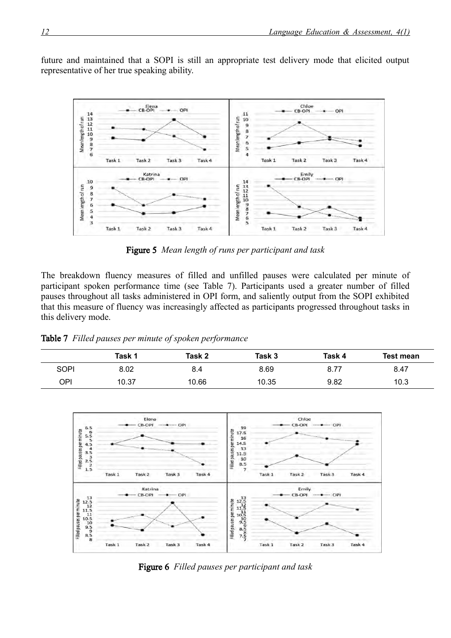future and maintained that a SOPI is still an appropriate test delivery mode that elicited output representative of her true speaking ability.



Figure 5 *Mean length of runs per participant and task*

The breakdown fluency measures of filled and unfilled pauses were calculated per minute of participant spoken performance time (see Table 7). Participants used a greater number of filled pauses throughout all tasks administered in OPI form, and saliently output from the SOPI exhibited that this measure of fluency was increasingly affected as participants progressed throughout tasks in this delivery mode.

| Table 7 Filled pauses per minute of spoken performance |  |  |  |  |  |  |  |  |
|--------------------------------------------------------|--|--|--|--|--|--|--|--|
|--------------------------------------------------------|--|--|--|--|--|--|--|--|

|      | Task 1 | Task 2 | Task 3 | Task 4 | <b>Test mean</b> |
|------|--------|--------|--------|--------|------------------|
| SOPI | 8.02   | 8.4    | 8.69   | 8.77   | 8.47             |
| OPI  | 10.37  | 10.66  | 10.35  | 9.82   | 10.3             |



Figure 6 *Filled pauses per participant and task*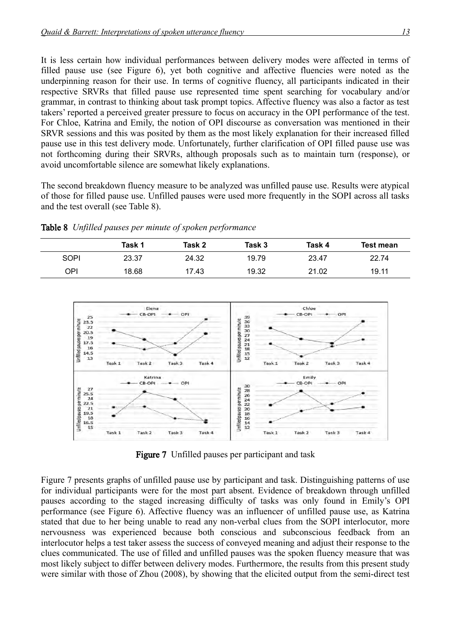It is less certain how individual performances between delivery modes were affected in terms of filled pause use (see Figure 6), yet both cognitive and affective fluencies were noted as the underpinning reason for their use. In terms of cognitive fluency, all participants indicated in their respective SRVRs that filled pause use represented time spent searching for vocabulary and/or grammar, in contrast to thinking about task prompt topics. Affective fluency was also a factor as test takers' reported a perceived greater pressure to focus on accuracy in the OPI performance of the test. For Chloe, Katrina and Emily, the notion of OPI discourse as conversation was mentioned in their SRVR sessions and this was posited by them as the most likely explanation for their increased filled pause use in this test delivery mode. Unfortunately, further clarification of OPI filled pause use was not forthcoming during their SRVRs, although proposals such as to maintain turn (response), or avoid uncomfortable silence are somewhat likely explanations.

The second breakdown fluency measure to be analyzed was unfilled pause use. Results were atypical of those for filled pause use. Unfilled pauses were used more frequently in the SOPI across all tasks and the test overall (see Table 8).

| <b>Radio</b> o <i>Chiffred pauses per minute of spoken performance</i> |  |
|------------------------------------------------------------------------|--|
|                                                                        |  |

Table 8 *Unfilled pauses per minute of spoken performance*

|             | Task 1 | Task 2 | Task 3 | Task 4 | <b>Test mean</b> |
|-------------|--------|--------|--------|--------|------------------|
| <b>SOPI</b> | 23.37  | 24.32  | 19.79  | 23.47  | 22.74            |
| OPI         | 18.68  | 17.43  | 19.32  | 21.02  | 19.11            |
|             |        |        |        |        |                  |



Figure 7 Unfilled pauses per participant and task

Figure 7 presents graphs of unfilled pause use by participant and task. Distinguishing patterns of use for individual participants were for the most part absent. Evidence of breakdown through unfilled pauses according to the staged increasing difficulty of tasks was only found in Emily's OPI performance (see Figure 6). Affective fluency was an influencer of unfilled pause use, as Katrina stated that due to her being unable to read any non-verbal clues from the SOPI interlocutor, more nervousness was experienced because both conscious and subconscious feedback from an interlocutor helps a test taker assess the success of conveyed meaning and adjust their response to the clues communicated. The use of filled and unfilled pauses was the spoken fluency measure that was most likely subject to differ between delivery modes. Furthermore, the results from this present study were similar with those of Zhou (2008), by showing that the elicited output from the semi-direct test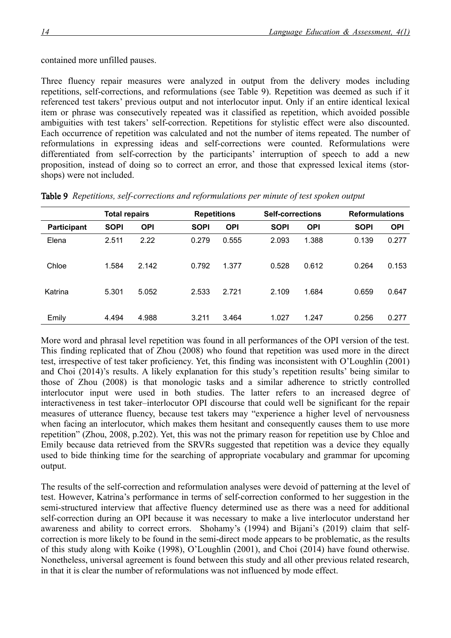contained more unfilled pauses.

Three fluency repair measures were analyzed in output from the delivery modes including repetitions, self-corrections, and reformulations (see Table 9). Repetition was deemed as such if it referenced test takers' previous output and not interlocutor input. Only if an entire identical lexical item or phrase was consecutively repeated was it classified as repetition, which avoided possible ambiguities with test takers' self-correction. Repetitions for stylistic effect were also discounted. Each occurrence of repetition was calculated and not the number of items repeated. The number of reformulations in expressing ideas and self-corrections were counted. Reformulations were differentiated from self-correction by the participants' interruption of speech to add a new proposition, instead of doing so to correct an error, and those that expressed lexical items (storshops) were not included.

|                    | <b>Total repairs</b> |            | <b>Repetitions</b> |            | <b>Self-corrections</b> |            | <b>Reformulations</b> |            |
|--------------------|----------------------|------------|--------------------|------------|-------------------------|------------|-----------------------|------------|
| <b>Participant</b> | <b>SOPI</b>          | <b>OPI</b> | <b>SOPI</b>        | <b>OPI</b> | <b>SOPI</b>             | <b>OPI</b> | <b>SOPI</b>           | <b>OPI</b> |
| Elena              | 2.511                | 2.22       | 0.279              | 0.555      | 2.093                   | 1.388      | 0.139                 | 0.277      |
| Chloe              | 1.584                | 2.142      | 0.792              | 1.377      | 0.528                   | 0.612      | 0.264                 | 0.153      |
| Katrina            | 5.301                | 5.052      | 2.533              | 2.721      | 2.109                   | 1.684      | 0.659                 | 0.647      |
| Emily              | 4.494                | 4.988      | 3.211              | 3.464      | 1.027                   | 1.247      | 0.256                 | 0.277      |

Table 9 *Repetitions, self-corrections and reformulations per minute of test spoken output*

More word and phrasal level repetition was found in all performances of the OPI version of the test. This finding replicated that of Zhou (2008) who found that repetition was used more in the direct test, irrespective of test taker proficiency. Yet, this finding was inconsistent with O'Loughlin (2001) and Choi (2014)'s results. A likely explanation for this study's repetition results' being similar to those of Zhou (2008) is that monologic tasks and a similar adherence to strictly controlled interlocutor input were used in both studies. The latter refers to an increased degree of interactiveness in test taker–interlocutor OPI discourse that could well be significant for the repair measures of utterance fluency, because test takers may "experience a higher level of nervousness when facing an interlocutor, which makes them hesitant and consequently causes them to use more repetition" (Zhou, 2008, p.202). Yet, this was not the primary reason for repetition use by Chloe and Emily because data retrieved from the SRVRs suggested that repetition was a device they equally used to bide thinking time for the searching of appropriate vocabulary and grammar for upcoming output.

The results of the self-correction and reformulation analyses were devoid of patterning at the level of test. However, Katrina's performance in terms of self-correction conformed to her suggestion in the semi-structured interview that affective fluency determined use as there was a need for additional self-correction during an OPI because it was necessary to make a live interlocutor understand her awareness and ability to correct errors. Shohamy's (1994) and Bijani's (2019) claim that selfcorrection is more likely to be found in the semi-direct mode appears to be problematic, as the results of this study along with Koike (1998), O'Loughlin (2001), and Choi (2014) have found otherwise. Nonetheless, universal agreement is found between this study and all other previous related research, in that it is clear the number of reformulations was not influenced by mode effect.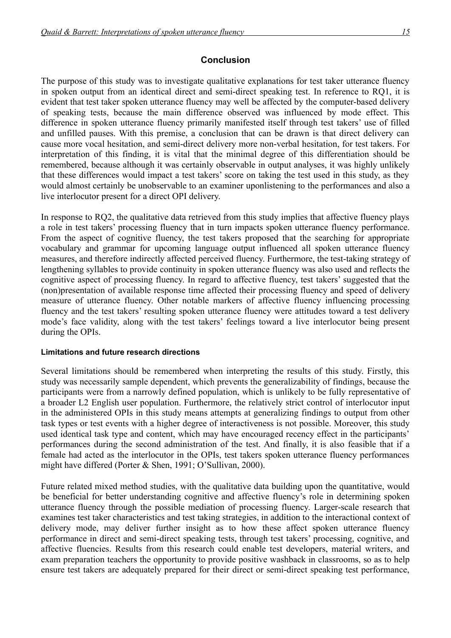### **Conclusion**

The purpose of this study was to investigate qualitative explanations for test taker utterance fluency in spoken output from an identical direct and semi-direct speaking test. In reference to RQ1, it is evident that test taker spoken utterance fluency may well be affected by the computer-based delivery of speaking tests, because the main difference observed was influenced by mode effect. This difference in spoken utterance fluency primarily manifested itself through test takers' use of filled and unfilled pauses. With this premise, a conclusion that can be drawn is that direct delivery can cause more vocal hesitation, and semi-direct delivery more non-verbal hesitation, for test takers. For interpretation of this finding, it is vital that the minimal degree of this differentiation should be remembered, because although it was certainly observable in output analyses, it was highly unlikely that these differences would impact a test takers' score on taking the test used in this study, as they would almost certainly be unobservable to an examiner uponlistening to the performances and also a live interlocutor present for a direct OPI delivery.

In response to RQ2, the qualitative data retrieved from this study implies that affective fluency plays a role in test takers' processing fluency that in turn impacts spoken utterance fluency performance. From the aspect of cognitive fluency, the test takers proposed that the searching for appropriate vocabulary and grammar for upcoming language output influenced all spoken utterance fluency measures, and therefore indirectly affected perceived fluency. Furthermore, the test-taking strategy of lengthening syllables to provide continuity in spoken utterance fluency was also used and reflects the cognitive aspect of processing fluency. In regard to affective fluency, test takers' suggested that the (non)presentation of available response time affected their processing fluency and speed of delivery measure of utterance fluency. Other notable markers of affective fluency influencing processing fluency and the test takers' resulting spoken utterance fluency were attitudes toward a test delivery mode's face validity, along with the test takers' feelings toward a live interlocutor being present during the OPIs.

#### **Limitations and future research directions**

Several limitations should be remembered when interpreting the results of this study. Firstly, this study was necessarily sample dependent, which prevents the generalizability of findings, because the participants were from a narrowly defined population, which is unlikely to be fully representative of a broader L2 English user population. Furthermore, the relatively strict control of interlocutor input in the administered OPIs in this study means attempts at generalizing findings to output from other task types or test events with a higher degree of interactiveness is not possible. Moreover, this study used identical task type and content, which may have encouraged recency effect in the participants' performances during the second administration of the test. And finally, it is also feasible that if a female had acted as the interlocutor in the OPIs, test takers spoken utterance fluency performances might have differed (Porter & Shen, 1991; O'Sullivan, 2000).

Future related mixed method studies, with the qualitative data building upon the quantitative, would be beneficial for better understanding cognitive and affective fluency's role in determining spoken utterance fluency through the possible mediation of processing fluency. Larger-scale research that examines test taker characteristics and test taking strategies, in addition to the interactional context of delivery mode, may deliver further insight as to how these affect spoken utterance fluency performance in direct and semi-direct speaking tests, through test takers' processing, cognitive, and affective fluencies. Results from this research could enable test developers, material writers, and exam preparation teachers the opportunity to provide positive washback in classrooms, so as to help ensure test takers are adequately prepared for their direct or semi-direct speaking test performance,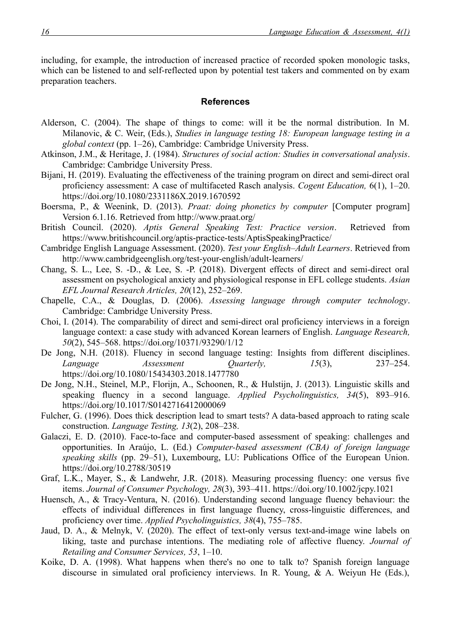including, for example, the introduction of increased practice of recorded spoken monologic tasks, which can be listened to and self-reflected upon by potential test takers and commented on by exam preparation teachers.

#### **References**

- Alderson, C. (2004). The shape of things to come: will it be the normal distribution. In M. Milanovic, & C. Weir, (Eds.), *Studies in language testing 18: European language testing in a global context* (pp. 1–26), Cambridge: Cambridge University Press.
- Atkinson, J.M., & Heritage, J. (1984). *Structures of social action: Studies in conversational analysis*. Cambridge: Cambridge University Press.
- Bijani, H. (2019). Evaluating the effectiveness of the training program on direct and semi-direct oral proficiency assessment: A case of multifaceted Rasch analysis. *Cogent Education,* 6(1), 1–20. <https://doi.org/10.1080/2331186X.2019.1670592>
- Boersma, P., & Weenink, D. (2013). *Praat: doing phonetics by computer* [Computer program] Version 6.1.16. Retrieved from<http://www.praat.org/>
- British Council. (2020). *Aptis General Speaking Test: Practice version*. Retrieved from <https://www.britishcouncil.org/aptis-practice-tests/AptisSpeakingPractice/>
- Cambridge English Language Assessment. (2020). *Test your English–Adult Learners*. Retrieved from <http://www.cambridgeenglish.org/test-your-english/adult-learners/>
- Chang, S. L., Lee, S. -D., & Lee, S. -P. (2018). Divergent effects of direct and semi-direct oral assessment on psychological anxiety and physiological response in EFL college students. *Asian EFL Journal Research Articles, 20*(12), 252–269.
- Chapelle, C.A., & Douglas, D. (2006). *Assessing language through computer technology*. Cambridge: Cambridge University Press.
- Choi, I. (2014). The comparability of direct and semi-direct oral proficiency interviews in a foreign language context: a case study with advanced Korean learners of English. *Language Research, 50*(2), 545–568.<https://doi.org/10371/93290/1/12>
- De Jong, N.H. (2018). Fluency in second language testing: Insights from different disciplines. *Language Assessment Quarterly, 15*(3), 237–254. <https://doi.org/10.1080/15434303.2018.1477780>
- De Jong, N.H., Steinel, M.P., Florijn, A., Schoonen, R., & Hulstijn, J. (2013). Linguistic skills and speaking fluency in a second language. *Applied Psycholinguistics, 34*(5), 893–916. <https://doi.org/10.1017/S0142716412000069>
- Fulcher, G. (1996). Does thick description lead to smart tests? A data-based approach to rating scale construction. *Language Testing, 13*(2), 208–238.
- Galaczi, E. D. (2010). Face-to-face and computer-based assessment of speaking: challenges and opportunities. In Araújo, L. (Ed.) *Computer-based assessment (CBA) of foreign language speaking skills* (pp. 29–51), Luxembourg, LU: Publications Office of the European Union. <https://doi.org/10.2788/30519>
- Graf, L.K., Mayer, S., & Landwehr, J.R. (2018). Measuring processing fluency: one versus five items. *Journal of Consumer Psychology, 28*(3), 393–411.<https://doi.org/10.1002/jcpy.1021>
- Huensch, A., & Tracy-Ventura, N. (2016). Understanding second language fluency behaviour: the effects of individual differences in first language fluency, cross-linguistic differences, and proficiency over time. *Applied Psycholinguistics, 38*(4), 755–785.
- Jaud, D. A., & Melnyk, V. (2020). The effect of text-only versus text-and-image wine labels on liking, taste and purchase intentions. The mediating role of affective fluency. *Journal of Retailing and Consumer Services, 53*, 1–10.
- Koike, D. A. (1998). What happens when there's no one to talk to? Spanish foreign language discourse in simulated oral proficiency interviews. In R. Young, & A. Weiyun He (Eds.),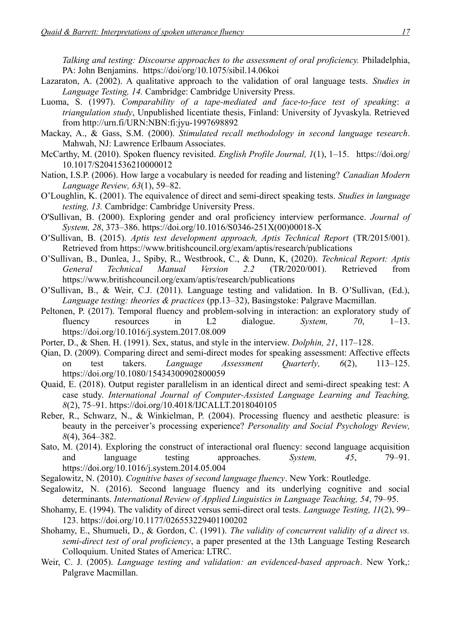*Talking and testing: Discourse approaches to the assessment of oral proficiency.* Philadelphia, PA: John Benjamins. <https://doi/org/10.1075/sibil.14.06koi>

- Lazaraton, A. (2002). A qualitative approach to the validation of oral language tests. *Studies in Language Testing, 14.* Cambridge: Cambridge University Press.
- Luoma, S. (1997). *Comparability of a tape-mediated and face-to-face test of speaking*: *a triangulation study*, Unpublished licentiate thesis, Finland: University of Jyvaskyla. Retrieved from <http://urn.fi/URN:NBN:fi:jyu-1997698892>
- Mackay, A., & Gass, S.M. (2000). *Stimulated recall methodology in second language* r*esearch*. Mahwah, NJ: Lawrence Erlbaum Associates.
- McCarthy, M. (2010). Spoken fluency revisited. *English Profile Journal, 1*(1), 1–15. [https://doi.org/](https://doi.org/10.1017/S2041536210000012) [10.1017/S2041536210000012](https://doi.org/10.1017/S2041536210000012)
- Nation, I.S.P. (2006). How large a vocabulary is needed for reading and listening? *Canadian Modern Language Review, 63*(1), 59–82.
- O'Loughlin, K. (2001). The equivalence of direct and semi-direct speaking tests. *Studies in language testing, 13.* Cambridge: Cambridge University Press.
- O'Sullivan, B. (2000). Exploring gender and oral proficiency interview performance. *Journal of System, 28*, 373–386. [https://doi.org/10.1016/S0346-251X\(00\)00018-X](https://doi.org/10.1016/S0346-251X(00)00018-X)
- O'Sullivan, B. (2015). Aptis test development approach, Aptis Technical Report (TR/2015/001). Retrieved from<https://www.britishcouncil.org/exam/aptis/research/publications>
- O'Sullivan, B., Dunlea, J., Spiby, R., Westbrook, C., & Dunn, K, (2020). *Technical Report: Aptis General Technical Manual Version 2.2* (TR/2020/001). Retrieved from <https://www.britishcouncil.org/exam/aptis/research/publications>
- O'Sullivan, B., & Weir, C.J. (2011). Language testing and validation. In B. O'Sullivan, (Ed.), *Language testing: theories & practices* (pp.13–32), Basingstoke: Palgrave Macmillan.
- Peltonen, P. (2017). Temporal fluency and problem-solving in interaction: an exploratory study of fluency resources in L2 dialogue. *System, 70*, 1–13. <https://doi.org/10.1016/j.system.2017.08.009>
- Porter, D., & Shen. H. (1991). Sex, status, and style in the interview. *Dolphin, 21*, 117–128.
- Qian, D. (2009). Comparing direct and semi-direct modes for speaking assessment: Affective effects on test takers. *Language Assessment Quarterly, 6*(2), 113–125. <https://doi.org/10.1080/15434300902800059>
- Quaid, E. (2018). Output register parallelism in an identical direct and semi-direct speaking test: A case study. *International Journal of Computer-Assisted Language Learning and Teaching, 8*(2), 75–91.<https://doi.org/10.4018/IJCALLT.2018040105>
- Reber, R., Schwarz, N., & Winkielman, P. (2004). Processing fluency and aesthetic pleasure: is beauty in the perceiver's processing experience? *Personality and Social Psychology Review, 8*(4), 364–382.
- Sato, M. (2014). Exploring the construct of interactional oral fluency: second language acquisition and language testing approaches. *System, 45*, 79–91. <https://doi.org/10.1016/j.system.2014.05.004>
- Segalowitz, N. (2010). *Cognitive bases of second language fluency*. New York: Routledge.
- Segalowitz, N. (2016). Second language fluency and its underlying cognitive and social determinants. *International Review of Applied Linguistics in Language Teaching, 54*, 79–95.
- Shohamy, E. (1994). The validity of direct versus semi-direct oral tests. *Language Testing, 11*(2), 99– 123.<https://doi.org/10.1177/026553229401100202>
- Shohamy, E., Shumueli, D., & Gordon, C. (1991). *The validity of concurrent validity of a direct vs. semi-direct test of oral proficiency*, a paper presented at the 13th Language Testing Research Colloquium. United States of America: LTRC.
- Weir, C. J. (2005). *Language testing and validation: an evidenced-based approach*. New York,: Palgrave Macmillan.